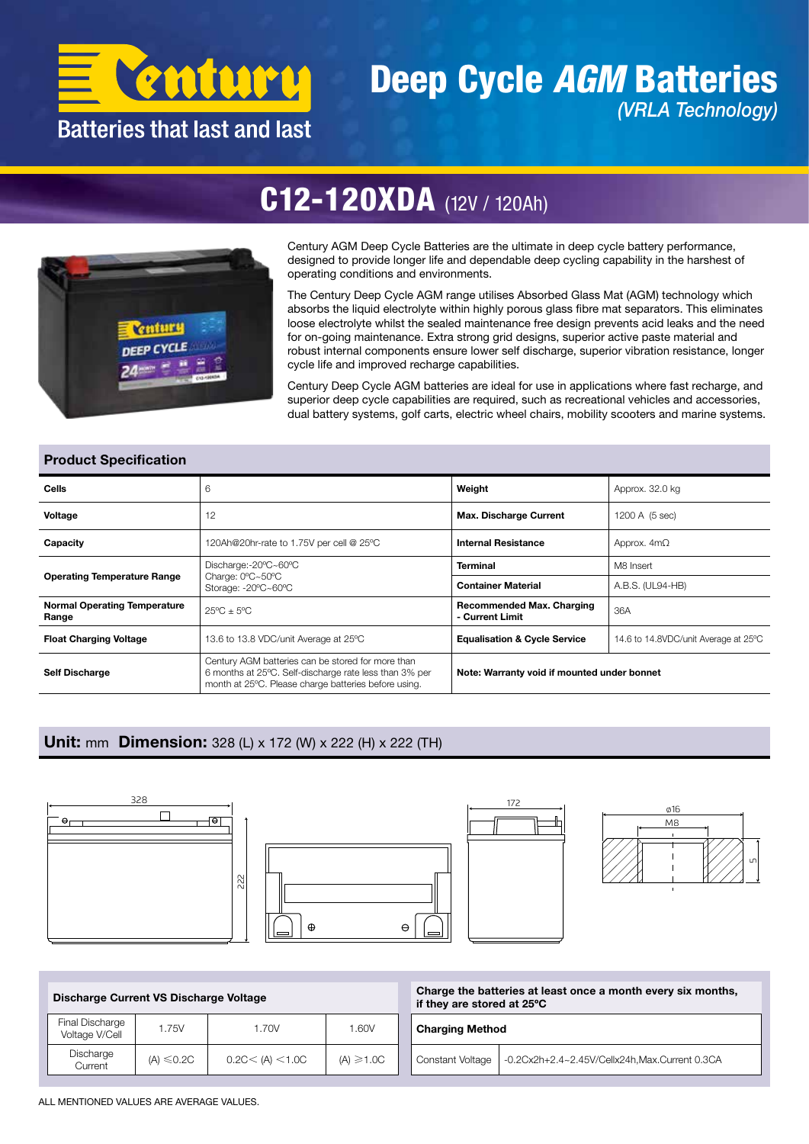

### Deep Cycle *AGM* Batteries *(VRLA Technology)*

## C12-120XDA (12V / 120Ah)



Century AGM Deep Cycle Batteries are the ultimate in deep cycle battery performance, designed to provide longer life and dependable deep cycling capability in the harshest of operating conditions and environments.

The Century Deep Cycle AGM range utilises Absorbed Glass Mat (AGM) technology which absorbs the liquid electrolyte within highly porous glass fibre mat separators. This eliminates loose electrolyte whilst the sealed maintenance free design prevents acid leaks and the need for on-going maintenance. Extra strong grid designs, superior active paste material and robust internal components ensure lower self discharge, superior vibration resistance, longer cycle life and improved recharge capabilities.

Century Deep Cycle AGM batteries are ideal for use in applications where fast recharge, and superior deep cycle capabilities are required, such as recreational vehicles and accessories, dual battery systems, golf carts, electric wheel chairs, mobility scooters and marine systems.

#### Product Specification

| Cells                                        | 6                                                                                                                                                                   | Weight                                              | Approx. 32.0 kg                      |  |  |
|----------------------------------------------|---------------------------------------------------------------------------------------------------------------------------------------------------------------------|-----------------------------------------------------|--------------------------------------|--|--|
| Voltage                                      | 12                                                                                                                                                                  | <b>Max. Discharge Current</b>                       | 1200 A (5 sec)                       |  |  |
| Capacity                                     | <b>Internal Resistance</b><br>120Ah@20hr-rate to 1.75V per cell @ 25°C                                                                                              |                                                     | Approx. $4m\Omega$                   |  |  |
|                                              | Discharge:-20°C~60°C                                                                                                                                                | <b>Terminal</b>                                     | M8 Insert                            |  |  |
| <b>Operating Temperature Range</b>           | Charge: 0°C~50°C<br>Storage: -20°C~60°C                                                                                                                             | <b>Container Material</b>                           | A.B.S. (UL94-HB)                     |  |  |
| <b>Normal Operating Temperature</b><br>Range | $25^{\circ}$ C + $5^{\circ}$ C                                                                                                                                      | <b>Recommended Max. Charging</b><br>- Current Limit | 36A                                  |  |  |
| <b>Float Charging Voltage</b>                | 13.6 to 13.8 VDC/unit Average at 25°C                                                                                                                               | <b>Equalisation &amp; Cycle Service</b>             | 14.6 to 14.8VDC/unit Average at 25°C |  |  |
| <b>Self Discharge</b>                        | Century AGM batteries can be stored for more than<br>6 months at 25°C. Self-discharge rate less than 3% per<br>month at 25°C. Please charge batteries before using. | Note: Warranty void if mounted under bonnet         |                                      |  |  |

#### Unit: mm Dimension: 328 (L) x 172 (W) x 222 (H) x 222 (TH)







is the once it

|                                   | Discharge Current VS Discharge Voltage<br>1.75V<br>1.70V |                   |                | if they are stored at 25°C | Charge the batteries at least once a month every six mont |  |  |  |
|-----------------------------------|----------------------------------------------------------|-------------------|----------------|----------------------------|-----------------------------------------------------------|--|--|--|
| Final Discharge<br>Voltage V/Cell |                                                          |                   | 1.60V          | <b>Charging Method</b>     |                                                           |  |  |  |
| Discharge<br>Current              | $(A) \leq 0.2C$                                          | 0.2C < (A) < 1.0C | $(A) \ge 1.0C$ | Constant Voltage           | -0.2Cx2h+2.4~2.45V/Cellx24h,Max.Current 0.3CA             |  |  |  |

ALL MENTIONED VALUES ARE AVERAGE VALUES.